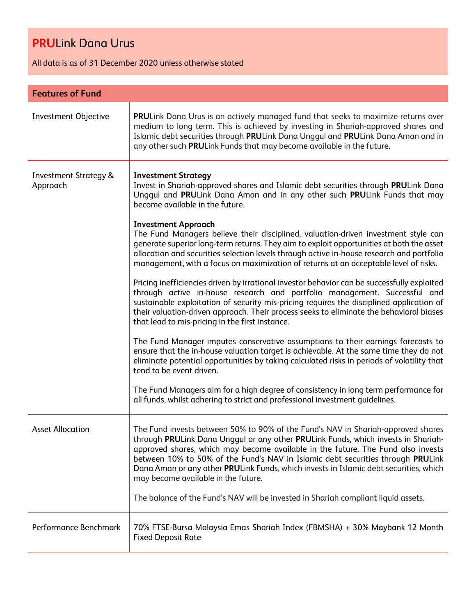All data is as of 31 December 2020 unless otherwise stated

| <b>Features of Fund</b>                      |                                                                                                                                                                                                                                                                                                                                                                                                                                                                                                                                                                    |  |
|----------------------------------------------|--------------------------------------------------------------------------------------------------------------------------------------------------------------------------------------------------------------------------------------------------------------------------------------------------------------------------------------------------------------------------------------------------------------------------------------------------------------------------------------------------------------------------------------------------------------------|--|
| Investment Objective                         | PRULink Dana Urus is an actively managed fund that seeks to maximize returns over<br>medium to long term. This is achieved by investing in Shariah-approved shares and<br>Islamic debt securities through PRULink Dana Unggul and PRULink Dana Aman and in<br>any other such PRULink Funds that may become available in the future.                                                                                                                                                                                                                                |  |
| <b>Investment Strategy &amp;</b><br>Approach | <b>Investment Strategy</b><br>Invest in Shariah-approved shares and Islamic debt securities through PRULink Dana<br>Unggul and PRULink Dana Aman and in any other such PRULink Funds that may<br>become available in the future.                                                                                                                                                                                                                                                                                                                                   |  |
|                                              | <b>Investment Approach</b><br>The Fund Managers believe their disciplined, valuation-driven investment style can<br>generate superior long-term returns. They aim to exploit opportunities at both the asset<br>allocation and securities selection levels through active in-house research and portfolio<br>management, with a focus on maximization of returns at an acceptable level of risks.                                                                                                                                                                  |  |
|                                              | Pricing inefficiencies driven by irrational investor behavior can be successfully exploited<br>through active in-house research and portfolio management. Successful and<br>sustainable exploitation of security mis-pricing requires the disciplined application of<br>their valuation-driven approach. Their process seeks to eliminate the behavioral biases<br>that lead to mis-pricing in the first instance.                                                                                                                                                 |  |
|                                              | The Fund Manager imputes conservative assumptions to their earnings forecasts to<br>ensure that the in-house valuation target is achievable. At the same time they do not<br>eliminate potential opportunities by taking calculated risks in periods of volatility that<br>tend to be event driven.                                                                                                                                                                                                                                                                |  |
|                                              | The Fund Managers aim for a high degree of consistency in long term performance for<br>all funds, whilst adhering to strict and professional investment guidelines.                                                                                                                                                                                                                                                                                                                                                                                                |  |
| <b>Asset Allocation</b>                      | The Fund invests between 50% to 90% of the Fund's NAV in Shariah-approved shares<br>through PRULink Dana Unggul or any other PRULink Funds, which invests in Shariah-<br>approved shares, which may become available in the future. The Fund also invests<br>between 10% to 50% of the Fund's NAV in Islamic debt securities through PRULink<br>Dana Aman or any other PRULink Funds, which invests in Islamic debt securities, which<br>may become available in the future.<br>The balance of the Fund's NAV will be invested in Shariah compliant liquid assets. |  |
| Performance Benchmark                        | 70% FTSE-Bursa Malaysia Emas Shariah Index (FBMSHA) + 30% Maybank 12 Month<br><b>Fixed Deposit Rate</b>                                                                                                                                                                                                                                                                                                                                                                                                                                                            |  |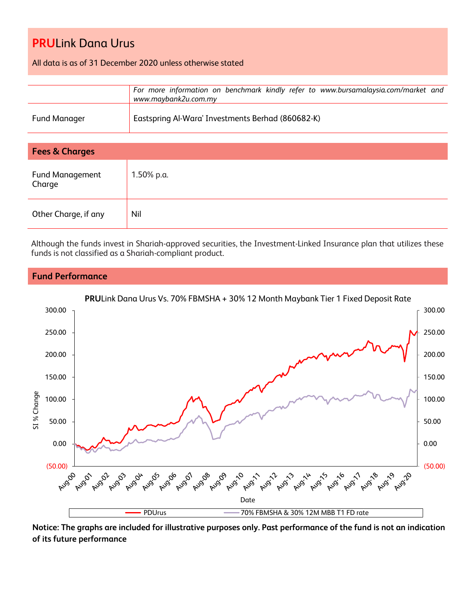All data is as of 31 December 2020 unless otherwise stated

|                     | For more information on benchmark kindly refer to www.bursamalaysia.com/market and<br>www.maybank2u.com.my |
|---------------------|------------------------------------------------------------------------------------------------------------|
| <b>Fund Manager</b> | Eastspring Al-Wara' Investments Berhad (860682-K)                                                          |

| <b>Fees &amp; Charges</b>        |            |  |
|----------------------------------|------------|--|
| <b>Fund Management</b><br>Charge | 1.50% p.a. |  |
| Other Charge, if any             | Nil        |  |

Although the funds invest in Shariah-approved securities, the Investment-Linked Insurance plan that utilizes these funds is not classified as a Shariah-compliant product.

### **Fund Performance**



**Notice: The graphs are included for illustrative purposes only. Past performance of the fund is not an indication of its future performance**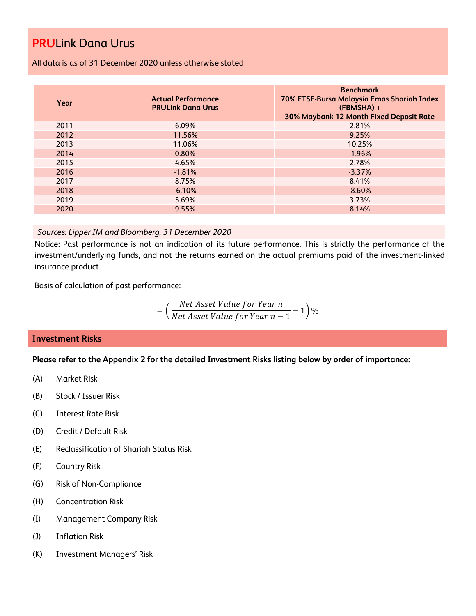All data is as of 31 December 2020 unless otherwise stated

| Year | <b>Actual Performance</b><br><b>PRULink Dana Urus</b> | <b>Benchmark</b><br>70% FTSE-Bursa Malaysia Emas Shariah Index<br>$(FBMSHA) +$<br>30% Maybank 12 Month Fixed Deposit Rate |
|------|-------------------------------------------------------|---------------------------------------------------------------------------------------------------------------------------|
| 2011 | $6.09\%$                                              | 2.81%                                                                                                                     |
| 2012 | 11.56%                                                | 9.25%                                                                                                                     |
| 2013 | 11.06%                                                | 10.25%                                                                                                                    |
| 2014 | 0.80%                                                 | $-1.96%$                                                                                                                  |
| 2015 | 4.65%                                                 | 2.78%                                                                                                                     |
| 2016 | $-1.81%$                                              | $-3.37%$                                                                                                                  |
| 2017 | 8.75%                                                 | 8.41%                                                                                                                     |
| 2018 | $-6.10%$                                              | $-8.60%$                                                                                                                  |
| 2019 | 5.69%                                                 | 3.73%                                                                                                                     |
| 2020 | 9.55%                                                 | 8.14%                                                                                                                     |

### *Sources: Lipper IM and Bloomberg, 31 December 2020*

Notice: Past performance is not an indication of its future performance. This is strictly the performance of the investment/underlying funds, and not the returns earned on the actual premiums paid of the investment-linked insurance product.

Basis of calculation of past performance:

$$
= \left(\frac{Net\text{ Asset Value for Year }n}{Net\text{ Asset Value for Year }n-1}-1\right)\%
$$

### **Investment Risks**

**Please refer to the Appendix 2 for the detailed Investment Risks listing below by order of importance:**

- (A) Market Risk
- (B) Stock / Issuer Risk
- (C) Interest Rate Risk
- (D) Credit / Default Risk
- (E) Reclassification of Shariah Status Risk
- (F) Country Risk
- (G) Risk of Non-Compliance
- (H) Concentration Risk
- (I) Management Company Risk
- (J) Inflation Risk
- (K) Investment Managers' Risk